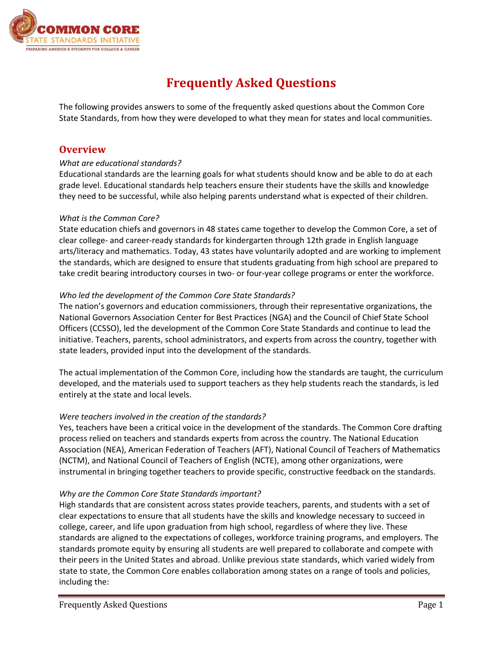

# **Frequently Asked Questions**

The following provides answers to some of the frequently asked questions about the Common Core State Standards, from how they were developed to what they mean for states and local communities.

# **Overview**

# *What are educational standards?*

Educational standards are the learning goals for what students should know and be able to do at each grade level. Educational standards help teachers ensure their students have the skills and knowledge they need to be successful, while also helping parents understand what is expected of their children.

# *What is the Common Core?*

State education chiefs and governors in 48 states came together to develop the Common Core, a set of clear college- and career-ready standards for kindergarten through 12th grade in English language arts/literacy and mathematics. Today, 43 states have voluntarily adopted and are working to implement the standards, which are designed to ensure that students graduating from high school are prepared to take credit bearing introductory courses in two- or four-year college programs or enter the workforce.

# *Who led the development of the Common Core State Standards?*

The nation's governors and education commissioners, through their representative organizations, the National Governors Association Center for Best Practices (NGA) and the Council of Chief State School Officers (CCSSO), led the development of the Common Core State Standards and continue to lead the initiative. Teachers, parents, school administrators, and experts from across the country, together with state leaders, provided input into the development of the standards.

The actual implementation of the Common Core, including how the standards are taught, the curriculum developed, and the materials used to support teachers as they help students reach the standards, is led entirely at the state and local levels.

# *Were teachers involved in the creation of the standards?*

Yes, teachers have been a critical voice in the development of the standards. The Common Core drafting process relied on teachers and standards experts from across the country. The National Education Association (NEA), American Federation of Teachers (AFT), National Council of Teachers of Mathematics (NCTM), and National Council of Teachers of English (NCTE), among other organizations, were instrumental in bringing together teachers to provide specific, constructive feedback on the standards.

# *Why are the Common Core State Standards important?*

High standards that are consistent across states provide teachers, parents, and students with a set of clear expectations to ensure that all students have the skills and knowledge necessary to succeed in college, career, and life upon graduation from high school, regardless of where they live. These standards are aligned to the expectations of colleges, workforce training programs, and employers. The standards promote equity by ensuring all students are well prepared to collaborate and compete with their peers in the United States and abroad. Unlike previous state standards, which varied widely from state to state, the Common Core enables collaboration among states on a range of tools and policies, including the: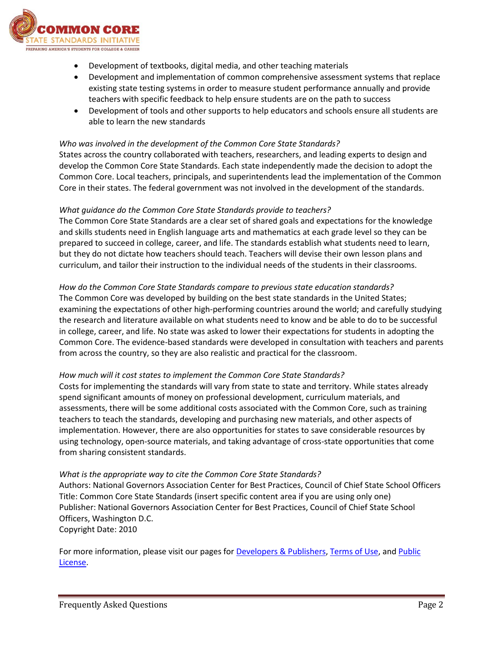

- Development of textbooks, digital media, and other teaching materials
- Development and implementation of common comprehensive assessment systems that replace existing state testing systems in order to measure student performance annually and provide teachers with specific feedback to help ensure students are on the path to success
- Development of tools and other supports to help educators and schools ensure all students are able to learn the new standards

## *Who was involved in the development of the Common Core State Standards?*

States across the country collaborated with teachers, researchers, and leading experts to design and develop the Common Core State Standards. Each state independently made the decision to adopt the Common Core. Local teachers, principals, and superintendents lead the implementation of the Common Core in their states. The federal government was not involved in the development of the standards.

## *What guidance do the Common Core State Standards provide to teachers?*

The Common Core State Standards are a clear set of shared goals and expectations for the knowledge and skills students need in English language arts and mathematics at each grade level so they can be prepared to succeed in college, career, and life. The standards establish what students need to learn, but they do not dictate how teachers should teach. Teachers will devise their own lesson plans and curriculum, and tailor their instruction to the individual needs of the students in their classrooms.

## *How do the Common Core State Standards compare to previous state education standards?*

The Common Core was developed by building on the best state standards in the United States; examining the expectations of other high-performing countries around the world; and carefully studying the research and literature available on what students need to know and be able to do to be successful in college, career, and life. No state was asked to lower their expectations for students in adopting the Common Core. The evidence-based standards were developed in consultation with teachers and parents from across the country, so they are also realistic and practical for the classroom.

#### *How much will it cost states to implement the Common Core State Standards?*

Costs for implementing the standards will vary from state to state and territory. While states already spend significant amounts of money on professional development, curriculum materials, and assessments, there will be some additional costs associated with the Common Core, such as training teachers to teach the standards, developing and purchasing new materials, and other aspects of implementation. However, there are also opportunities for states to save considerable resources by using technology, open-source materials, and taking advantage of cross-state opportunities that come from sharing consistent standards.

# *What is the appropriate way to cite the Common Core State Standards?*

Authors: National Governors Association Center for Best Practices, Council of Chief State School Officers Title: Common Core State Standards (insert specific content area if you are using only one) Publisher: National Governors Association Center for Best Practices, Council of Chief State School Officers, Washington D.C. Copyright Date: 2010

For more information, please visit our pages fo[r Developers & Publishers,](http://www.corestandards.org/about-the-standards/development-process/) [Terms of Use,](http://www.corestandards.org/terms-of-use/) and [Public](http://www.corestandards.org/public-license/)  [License.](http://www.corestandards.org/public-license/)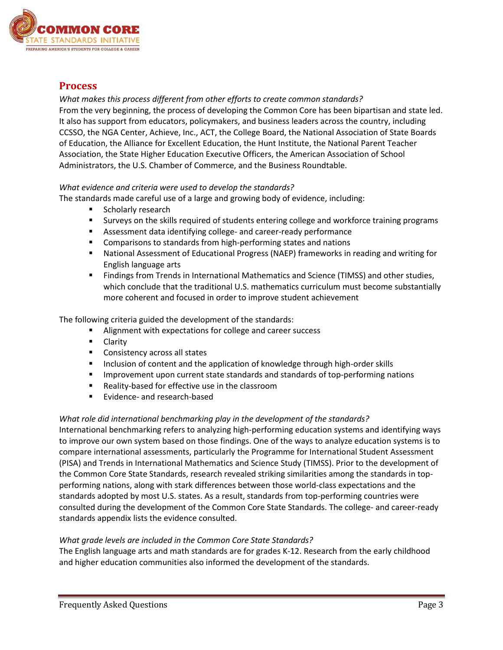

# **Process**

*What makes this process different from other efforts to create common standards?*  From the very beginning, the process of developing the Common Core has been bipartisan and state led. It also has support from educators, policymakers, and business leaders across the country, including CCSSO, the NGA Center, Achieve, Inc., ACT, the College Board, the National Association of State Boards of Education, the Alliance for Excellent Education, the Hunt Institute, the National Parent Teacher Association, the State Higher Education Executive Officers, the American Association of School Administrators, the U.S. Chamber of Commerce, and the Business Roundtable.

# *What evidence and criteria were used to develop the standards?*

The standards made careful use of a large and growing body of evidence, including:

- **Scholarly research**
- **Surveys on the skills required of students entering college and workforce training programs**
- Assessment data identifying college- and career-ready performance
- **EXP** Comparisons to standards from high-performing states and nations
- National Assessment of Educational Progress (NAEP) frameworks in reading and writing for English language arts
- **Findings from Trends in International Mathematics and Science (TIMSS) and other studies,** which conclude that the traditional U.S. mathematics curriculum must become substantially more coherent and focused in order to improve student achievement

The following criteria guided the development of the standards:

- Alignment with expectations for college and career success
- **Clarity**
- Consistency across all states
- **Inclusion of content and the application of knowledge through high-order skills**
- **IMPROVEMENT UPOON CULTER 1** State standards and standards of top-performing nations
- **Reality-based for effective use in the classroom**
- **Evidence- and research-based**

# *What role did international benchmarking play in the development of the standards?*

International benchmarking refers to analyzing high-performing education systems and identifying ways to improve our own system based on those findings. One of the ways to analyze education systems is to compare international assessments, particularly the Programme for International Student Assessment (PISA) and Trends in International Mathematics and Science Study (TIMSS). Prior to the development of the Common Core State Standards, research revealed striking similarities among the standards in topperforming nations, along with stark differences between those world-class expectations and the standards adopted by most U.S. states. As a result, standards from top-performing countries were consulted during the development of the Common Core State Standards. The college- and career-ready standards appendix lists the evidence consulted.

# *What grade levels are included in the Common Core State Standards?*

The English language arts and math standards are for grades K-12. Research from the early childhood and higher education communities also informed the development of the standards.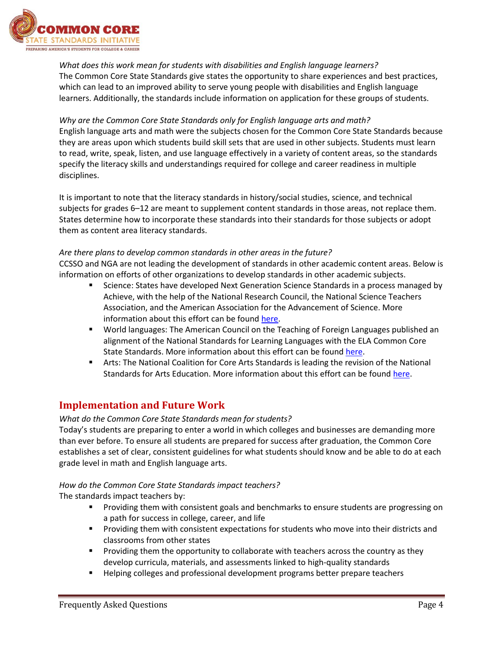

*What does this work mean for students with disabilities and English language learners?* The Common Core State Standards give states the opportunity to share experiences and best practices, which can lead to an improved ability to serve young people with disabilities and English language learners. Additionally, the standards include information on application for these groups of students.

# *Why are the Common Core State Standards only for English language arts and math?*

English language arts and math were the subjects chosen for the Common Core State Standards because they are areas upon which students build skill sets that are used in other subjects. Students must learn to read, write, speak, listen, and use language effectively in a variety of content areas, so the standards specify the literacy skills and understandings required for college and career readiness in multiple disciplines.

It is important to note that the literacy standards in history/social studies, science, and technical subjects for grades 6–12 are meant to supplement content standards in those areas, not replace them. States determine how to incorporate these standards into their standards for those subjects or adopt them as content area literacy standards.

# *Are there plans to develop common standards in other areas in the future?*

CCSSO and NGA are not leading the development of standards in other academic content areas. Below is information on efforts of other organizations to develop standards in other academic subjects.

- Science: States have developed Next Generation Science Standards in a process managed by Achieve, with the help of the National Research Council, the National Science Teachers Association, and the American Association for the Advancement of Science. More information about this effort can be found [here.](http://www.nextgenscience.org/)
- World languages: The American Council on the Teaching of Foreign Languages published an alignment of the National Standards for Learning Languages with the ELA Common Core State Standards. More information about this effort can be found [here.](http://www.actfl.org/sites/default/files/pdfs/Aligning_CCSS_Language_Standards_v6.pdf)
- Arts: The National Coalition for Core Arts Standards is leading the revision of the National Standards for Arts Education. More information about this effort can be foun[d here.](http://www.arteducators.org/news/national-coalition-for-core-arts-standards-nccas)

# **Implementation and Future Work**

*What do the Common Core State Standards mean for students?*

Today's students are preparing to enter a world in which colleges and businesses are demanding more than ever before. To ensure all students are prepared for success after graduation, the Common Core establishes a set of clear, consistent guidelines for what students should know and be able to do at each grade level in math and English language arts.

# *How do the Common Core State Standards impact teachers?*

The standards impact teachers by:

- **Providing them with consistent goals and benchmarks to ensure students are progressing on** a path for success in college, career, and life
- Providing them with consistent expectations for students who move into their districts and classrooms from other states
- **Providing them the opportunity to collaborate with teachers across the country as they** develop curricula, materials, and assessments linked to high-quality standards
- **Helping colleges and professional development programs better prepare teachers**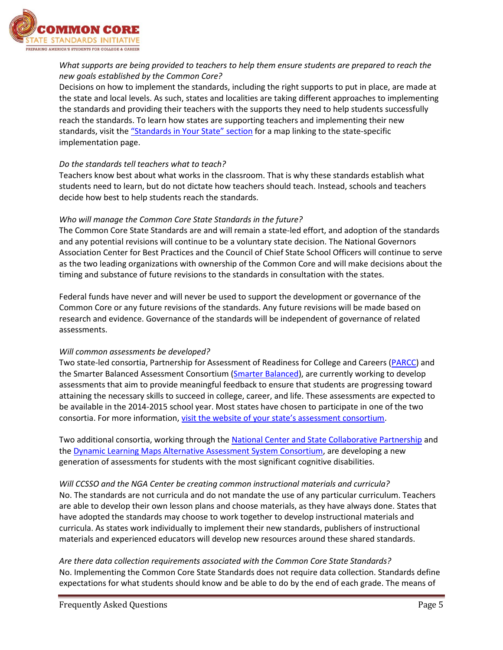

# *What supports are being provided to teachers to help them ensure students are prepared to reach the new goals established by the Common Core?*

Decisions on how to implement the standards, including the right supports to put in place, are made at the state and local levels. As such, states and localities are taking different approaches to implementing the standards and providing their teachers with the supports they need to help students successfully reach the standards. To learn how states are supporting teachers and implementing their new standards, visit the ["Standards in Your State" section](http://www.corestandards.org/standards-in-your-state/) for a map linking to the state-specific implementation page.

# *Do the standards tell teachers what to teach?*

Teachers know best about what works in the classroom. That is why these standards establish what students need to learn, but do not dictate how teachers should teach. Instead, schools and teachers decide how best to help students reach the standards.

# *Who will manage the Common Core State Standards in the future?*

The Common Core State Standards are and will remain a state-led effort, and adoption of the standards and any potential revisions will continue to be a voluntary state decision. The National Governors Association Center for Best Practices and the Council of Chief State School Officers will continue to serve as the two leading organizations with ownership of the Common Core and will make decisions about the timing and substance of future revisions to the standards in consultation with the states.

Federal funds have never and will never be used to support the development or governance of the Common Core or any future revisions of the standards. Any future revisions will be made based on research and evidence. Governance of the standards will be independent of governance of related assessments.

# *Will common assessments be developed?*

Two state-led consortia, Partnership for Assessment of Readiness for College and Careers [\(PARCC\)](http://www.parcconline.org/) and the Smarter Balanced Assessment Consortium [\(Smarter Balanced\)](http://www.smarterbalanced.org/), are currently working to develop assessments that aim to provide meaningful feedback to ensure that students are progressing toward attaining the necessary skills to succeed in college, career, and life. These assessments are expected to be available in the 2014-2015 school year. Most states have chosen to participate in one of the two consortia. For more information, [visit the website of your state's assessment consortium](http://www.corestandards.org/standards-in-your-state/).

Two additional consortia, working through the [National Center and State Collaborative Partnership](http://www.ncscpartners.org/) and th[e Dynamic Learning Maps Alternative Assessment System Consortium,](http://dynamiclearningmaps.org/) are developing a new generation of assessments for students with the most significant cognitive disabilities.

# *Will CCSSO and the NGA Center be creating common instructional materials and curricula?*

No. The standards are not curricula and do not mandate the use of any particular curriculum. Teachers are able to develop their own lesson plans and choose materials, as they have always done. States that have adopted the standards may choose to work together to develop instructional materials and curricula. As states work individually to implement their new standards, publishers of instructional materials and experienced educators will develop new resources around these shared standards.

*Are there data collection requirements associated with the Common Core State Standards?*  No. Implementing the Common Core State Standards does not require data collection. Standards define expectations for what students should know and be able to do by the end of each grade. The means of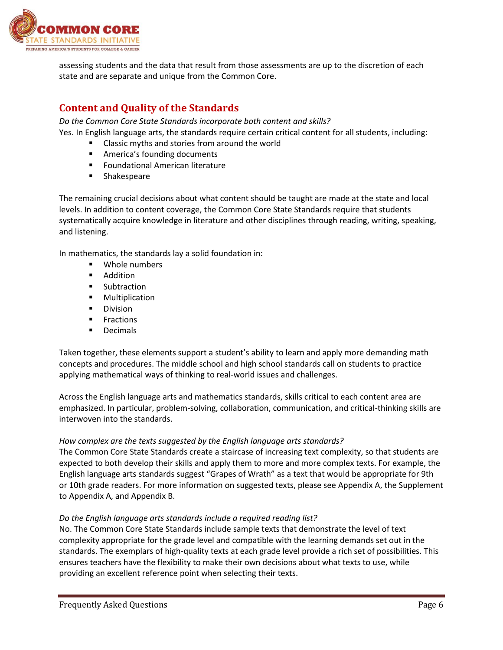

assessing students and the data that result from those assessments are up to the discretion of each state and are separate and unique from the Common Core.

# **Content and Quality of the Standards**

*Do the Common Core State Standards incorporate both content and skills?*  Yes. In English language arts, the standards require certain critical content for all students, including:

- **EXEC** Classic myths and stories from around the world
- **EXECUTE:** America's founding documents
- **Foundational American literature**
- **E** Shakespeare

The remaining crucial decisions about what content should be taught are made at the state and local levels. In addition to content coverage, the Common Core State Standards require that students systematically acquire knowledge in literature and other disciplines through reading, writing, speaking, and listening.

In mathematics, the standards lay a solid foundation in:

- **Whole numbers**
- **Addition**
- **Subtraction**
- **•** Multiplication
- **Division**
- **Fractions**
- **Decimals**

Taken together, these elements support a student's ability to learn and apply more demanding math concepts and procedures. The middle school and high school standards call on students to practice applying mathematical ways of thinking to real-world issues and challenges.

Across the English language arts and mathematics standards, skills critical to each content area are emphasized. In particular, problem-solving, collaboration, communication, and critical-thinking skills are interwoven into the standards.

#### *How complex are the texts suggested by the English language arts standards?*

The Common Core State Standards create a staircase of increasing text complexity, so that students are expected to both develop their skills and apply them to more and more complex texts. For example, the English language arts standards suggest "Grapes of Wrath" as a text that would be appropriate for 9th or 10th grade readers. For more information on suggested texts, please see Appendix A, the Supplement to Appendix A, and Appendix B.

#### *Do the English language arts standards include a required reading list?*

No. The Common Core State Standards include sample texts that demonstrate the level of text complexity appropriate for the grade level and compatible with the learning demands set out in the standards. The exemplars of high-quality texts at each grade level provide a rich set of possibilities. This ensures teachers have the flexibility to make their own decisions about what texts to use, while providing an excellent reference point when selecting their texts.